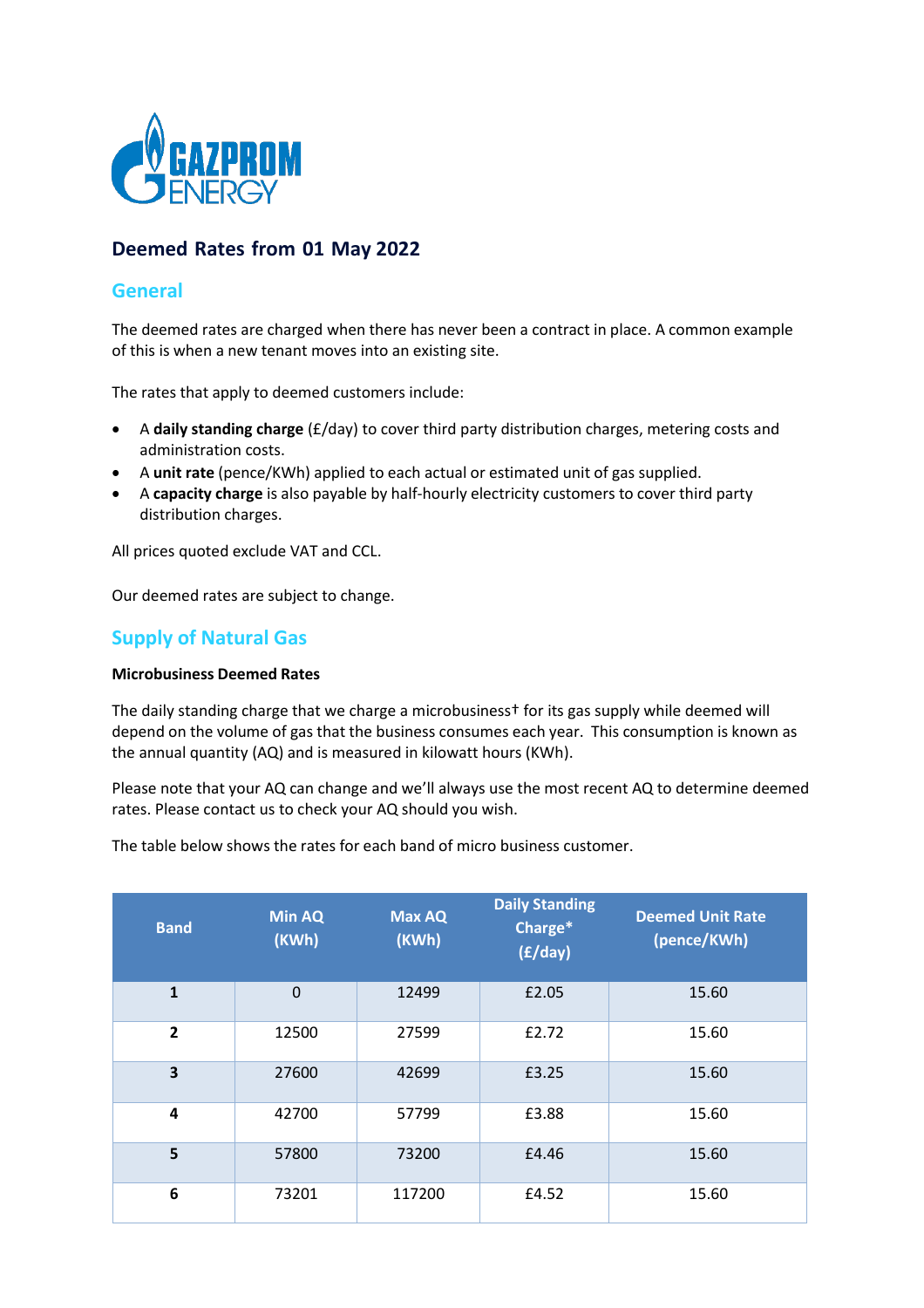

# **Deemed Rates from 01 May 2022**

## **General**

The deemed rates are charged when there has never been a contract in place. A common example of this is when a new tenant moves into an existing site.

The rates that apply to deemed customers include:

- A **daily standing charge** (£/day) to cover third party distribution charges, metering costs and administration costs.
- A **unit rate** (pence/KWh) applied to each actual or estimated unit of gas supplied.
- A **capacity charge** is also payable by half‐hourly electricity customers to cover third party distribution charges.

All prices quoted exclude VAT and CCL.

Our deemed rates are subject to change.

## **Supply of Natural Gas**

#### **Microbusiness Deemed Rates**

The daily standing charge that we charge a microbusiness† for its gas supply while deemed will depend on the volume of gas that the business consumes each year. This consumption is known as the annual quantity (AQ) and is measured in kilowatt hours (KWh).

Please note that your AQ can change and we'll always use the most recent AQ to determine deemed rates. Please contact us to check your AQ should you wish.

The table below shows the rates for each band of micro business customer.

| <b>Band</b>    | <b>Min AQ</b><br>(KWh) | <b>Max AQ</b><br>(KWh) | <b>Daily Standing</b><br>Charge*<br>(f/day) | <b>Deemed Unit Rate</b><br>(pence/KWh) |
|----------------|------------------------|------------------------|---------------------------------------------|----------------------------------------|
| $\mathbf{1}$   | $\Omega$               | 12499                  | £2.05                                       | 15.60                                  |
| $\overline{2}$ | 12500                  | 27599                  | £2.72                                       | 15.60                                  |
| 3              | 27600                  | 42699                  | £3.25                                       | 15.60                                  |
| 4              | 42700                  | 57799                  | £3.88                                       | 15.60                                  |
| 5              | 57800                  | 73200                  | £4.46                                       | 15.60                                  |
| 6              | 73201                  | 117200                 | £4.52                                       | 15.60                                  |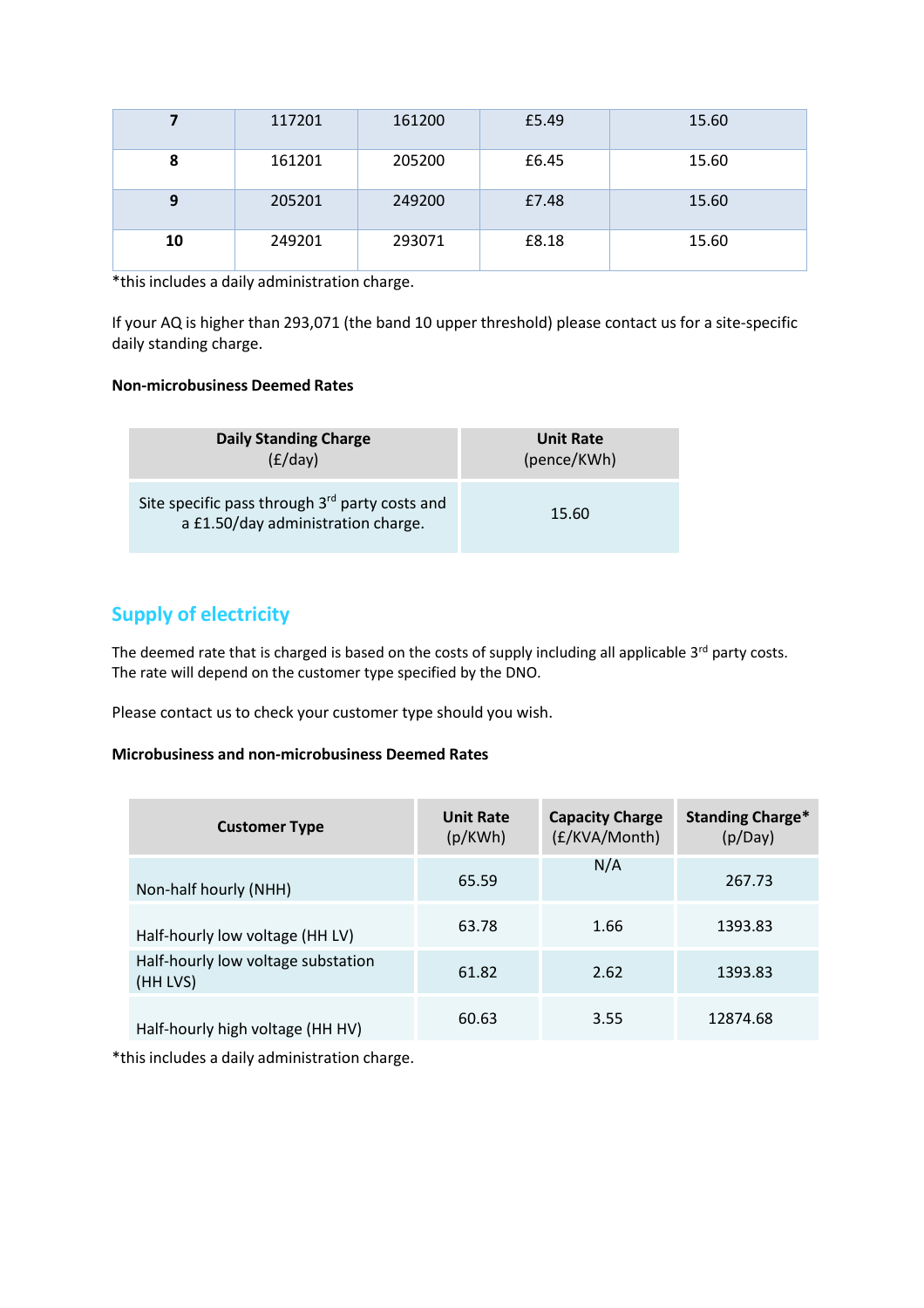|    | 117201 | 161200 | £5.49 | 15.60 |
|----|--------|--------|-------|-------|
| 8  | 161201 | 205200 | £6.45 | 15.60 |
| 9  | 205201 | 249200 | £7.48 | 15.60 |
| 10 | 249201 | 293071 | £8.18 | 15.60 |

\*this includes a daily administration charge.

If your AQ is higher than 293,071 (the band 10 upper threshold) please contact us for a site-specific daily standing charge.

### **Non‐microbusiness Deemed Rates**

| <b>Daily Standing Charge</b>                                                         | <b>Unit Rate</b> |  |
|--------------------------------------------------------------------------------------|------------------|--|
| (E/day)                                                                              | (pence/KWh)      |  |
| Site specific pass through 3rd party costs and<br>a £1.50/day administration charge. | 15.60            |  |

# **Supply of electricity**

The deemed rate that is charged is based on the costs of supply including all applicable 3<sup>rd</sup> party costs. The rate will depend on the customer type specified by the DNO.

Please contact us to check your customer type should you wish.

### **Microbusiness and non‐microbusiness Deemed Rates**

| <b>Customer Type</b>                           | <b>Unit Rate</b><br>(p/KWh) | <b>Capacity Charge</b><br>(£/KVA/Month) | <b>Standing Charge*</b><br>(p/Day) |
|------------------------------------------------|-----------------------------|-----------------------------------------|------------------------------------|
| Non-half hourly (NHH)                          | 65.59                       | N/A                                     | 267.73                             |
| Half-hourly low voltage (HH LV)                | 63.78                       | 1.66                                    | 1393.83                            |
| Half-hourly low voltage substation<br>(HH LVS) | 61.82                       | 2.62                                    | 1393.83                            |
| Half-hourly high voltage (HH HV)               | 60.63                       | 3.55                                    | 12874.68                           |

\*this includes a daily administration charge.